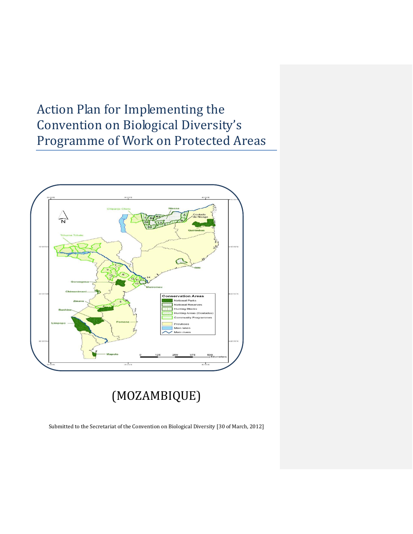# Action Plan for Implementing the Convention on Biological Diversity's Programme of Work on Protected Areas



(MOZAMBIQUE)

Submitted to the Secretariat of the Convention on Biological Diversity [30 of March, 2012]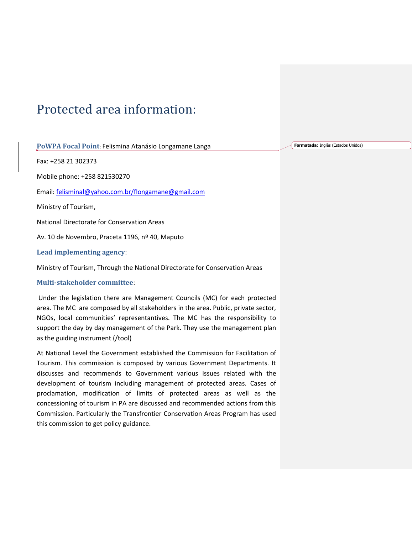## Protected area information:

**PoWPA Focal Point**: Felismina Atanásio Longamane Langa

Fax: +258 21 302373

Mobile phone: +258 821530270

Email: [felisminal@yahoo.com.br/flongamane@gmail.com](mailto:felisminal@yahoo.com.br/flongamane@gmail.com)

Ministry of Tourism,

National Directorate for Conservation Areas

Av. 10 de Novembro, Praceta 1196, nº 40, Maputo

**Lead implementing agency**:

Ministry of Tourism, Through the National Directorate for Conservation Areas

#### **Multi-stakeholder committee**:

Under the legislation there are Management Councils (MC) for each protected area. The MC are composed by all stakeholders in the area. Public, private sector, NGOs, local communities' representantives. The MC has the responsibility to support the day by day management of the Park. They use the management plan as the guiding instrument (/tool)

At National Level the Government established the Commission for Facilitation of Tourism. This commission is composed by various Government Departments. It discusses and recommends to Government various issues related with the development of tourism including management of protected areas. Cases of proclamation, modification of limits of protected areas as well as the concessioning of tourism in PA are discussed and recommended actions from this Commission. Particularly the Transfrontier Conservation Areas Program has used this commission to get policy guidance.

**Formatada:** Inglês (Estados Unidos)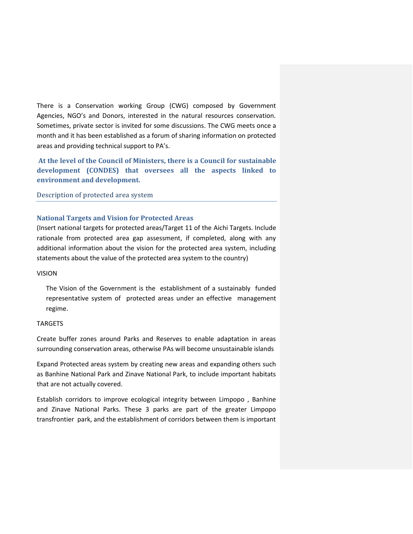There is a Conservation working Group (CWG) composed by Government Agencies, NGO's and Donors, interested in the natural resources conservation. Sometimes, private sector is invited for some discussions. The CWG meets once a month and it has been established as a forum of sharing information on protected areas and providing technical support to PA's.

**At the level of the Council of Ministers, there is a Council for sustainable development (CONDES) that oversees all the aspects linked to environment and development.**

#### Description of protected area system

#### **National Targets and Vision for Protected Areas**

(Insert national targets for protected areas/Target 11 of the Aichi Targets. Include rationale from protected area gap assessment, if completed, along with any additional information about the vision for the protected area system, including statements about the value of the protected area system to the country)

#### VISION

The Vision of the Government is the establishment of a sustainably funded representative system of protected areas under an effective management regime.

#### TARGETS

Create buffer zones around Parks and Reserves to enable adaptation in areas surrounding conservation areas, otherwise PAs will become unsustainable islands

Expand Protected areas system by creating new areas and expanding others such as Banhine National Park and Zinave National Park, to include important habitats that are not actually covered.

Establish corridors to improve ecological integrity between Limpopo , Banhine and Zinave National Parks. These 3 parks are part of the greater Limpopo transfrontier park, and the establishment of corridors between them is important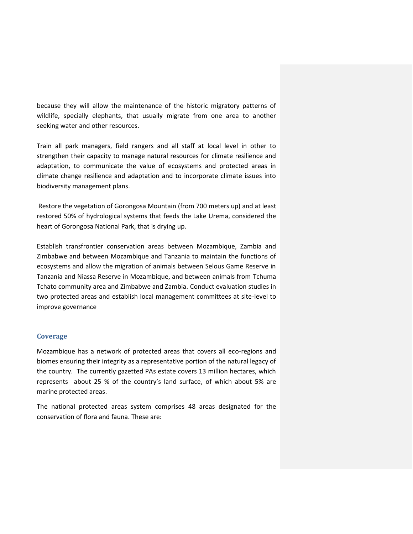because they will allow the maintenance of the historic migratory patterns of wildlife, specially elephants, that usually migrate from one area to another seeking water and other resources.

Train all park managers, field rangers and all staff at local level in other to strengthen their capacity to manage natural resources for climate resilience and adaptation, to communicate the value of ecosystems and protected areas in climate change resilience and adaptation and to incorporate climate issues into biodiversity management plans.

Restore the vegetation of Gorongosa Mountain (from 700 meters up) and at least restored 50% of hydrological systems that feeds the Lake Urema, considered the heart of Gorongosa National Park, that is drying up.

Establish transfrontier conservation areas between Mozambique, Zambia and Zimbabwe and between Mozambique and Tanzania to maintain the functions of ecosystems and allow the migration of animals between Selous Game Reserve in Tanzania and Niassa Reserve in Mozambique, and between animals from Tchuma Tchato community area and Zimbabwe and Zambia. Conduct evaluation studies in two protected areas and establish local management committees at site-level to improve governance

#### **Coverage**

Mozambique has a network of protected areas that covers all eco-regions and biomes ensuring their integrity as a representative portion of the natural legacy of the country. The currently gazetted PAs estate covers 13 million hectares, which represents about 25 % of the country's land surface, of which about 5% are marine protected areas.

The national protected areas system comprises 48 areas designated for the conservation of flora and fauna. These are: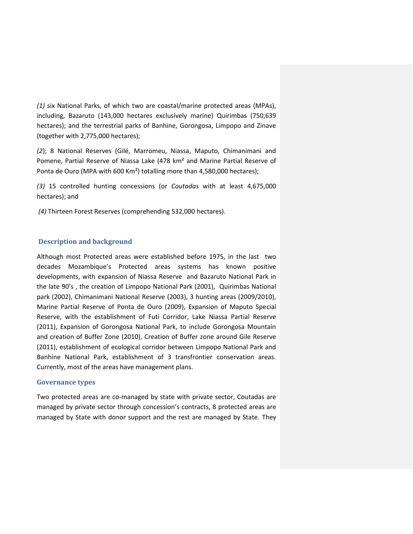*(1)* six National Parks, of which two are coastal/marine protected areas (MPAs), including, Bazaruto (143,000 hectares exclusively marine) Quirimbas (750,639 hectares); and the terrestrial parks of Banhine, Gorongosa, Limpopo and Zinave (together with 2,775,000 hectares);

*(2*); 8 National Reserves (Gilé, Marromeu, Niassa, Maputo, Chimanimani and Pomene, Partial Reserve of Niassa Lake (478 km² and Marine Partial Reserve of Ponta de Ouro (MPA with 600 Km²) totalling more than 4,580,000 hectares);

*(3)* 15 controlled hunting concessions (or *Coutadas* with at least 4,675,000 hectares); and

*(4)* Thirteen Forest Reserves (comprehending 532,000 hectares).

#### **Description and background**

Although most Protected areas were established before 1975, in the last two decades Mozambique's Protected areas systems has known positive developments, with expansion of Niassa Reserve and Bazaruto National Park in the late 90's , the creation of Limpopo National Park (2001), Quirimbas National park (2002), Chimanimani National Reserve (2003), 3 hunting areas (2009/2010), Marine Partial Reserve of Ponta de Ouro (2009), Expansion of Maputo Special Reserve, with the establishment of Futi Corridor, Lake Niassa Partial Reserve (2011), Expansion of Gorongosa National Park, to include Gorongosa Mountain and creation of Buffer Zone (2010), Creation of Buffer zone around Gile Reserve (2011), establishment of ecological corridor between Limpopo National Park and Banhine National Park, establishment of 3 transfrontier conservation areas. Currently, most of the areas have management plans.

#### **Governance types**

Two protected areas are co-managed by state with private sector, Coutadas are managed by private sector through concession's contracts, 8 protected areas are managed by State with donor support and the rest are managed by State. They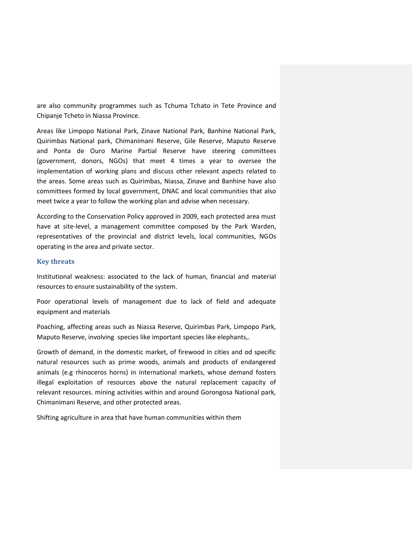are also community programmes such as Tchuma Tchato in Tete Province and Chipanje Tcheto in Niassa Province.

Areas like Limpopo National Park, Zinave National Park, Banhine National Park, Quirimbas National park, Chimanimani Reserve, Gile Reserve, Maputo Reserve and Ponta de Ouro Marine Partial Reserve have steering committees (government, donors, NGOs) that meet 4 times a year to oversee the implementation of working plans and discuss other relevant aspects related to the areas. Some areas such as Quirimbas, Niassa, Zinave and Banhine have also committees formed by local government, DNAC and local communities that also meet twice a year to follow the working plan and advise when necessary.

According to the Conservation Policy approved in 2009, each protected area must have at site-level, a management committee composed by the Park Warden, representatives of the provincial and district levels, local communities, NGOs operating in the area and private sector.

#### **Key threats**

Institutional weakness: associated to the lack of human, financial and material resources to ensure sustainability of the system.

Poor operational levels of management due to lack of field and adequate equipment and materials

Poaching, affecting areas such as Niassa Reserve, Quirimbas Park, Limpopo Park, Maputo Reserve, involving species like important species like elephants,.

Growth of demand, in the domestic market, of firewood in cities and od specific natural resources such as prime woods, animals and products of endangered animals (e.g rhinoceros horns) in international markets, whose demand fosters illegal exploitation of resources above the natural replacement capacity of relevant resources. mining activities within and around Gorongosa National park, Chimanimani Reserve, and other protected areas.

Shifting agriculture in area that have human communities within them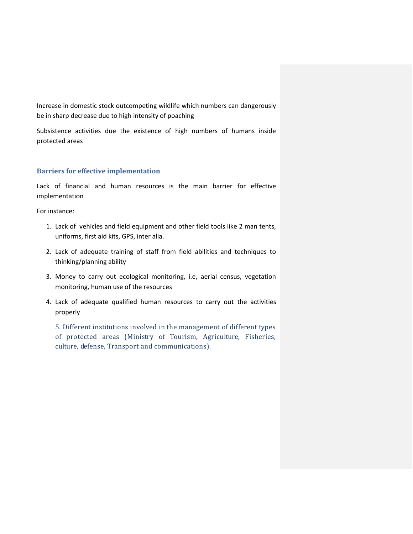Increase in domestic stock outcompeting wildlife which numbers can dangerously be in sharp decrease due to high intensity of poaching

Subsistence activities due the existence of high numbers of humans inside protected areas

#### **Barriers for effective implementation**

Lack of financial and human resources is the main barrier for effective implementation

For instance:

- 1. Lack of vehicles and field equipment and other field tools like 2 man tents, uniforms, first aid kits, GPS, inter alia.
- 2. Lack of adequate training of staff from field abilities and techniques to thinking/planning ability
- 3. Money to carry out ecological monitoring, i.e, aerial census, vegetation monitoring, human use of the resources
- 4. Lack of adequate qualified human resources to carry out the activities properly

5. Different institutions involved in the management of different types of protected areas (Ministry of Tourism, Agriculture, Fisheries, culture, defense, Transport and communications).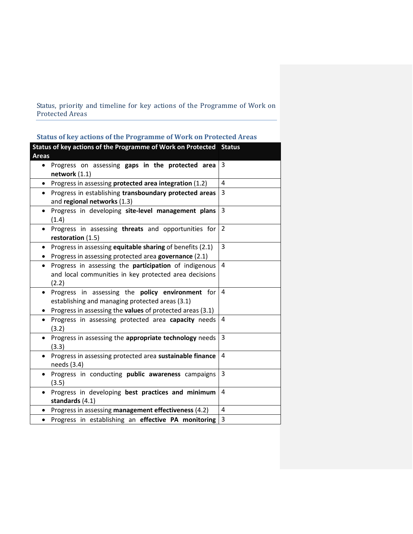Status, priority and timeline for key actions of the Programme of Work on Protected Areas

| Status of key actions of the Programme of Work on Protected Areas                                                                                                             |                |
|-------------------------------------------------------------------------------------------------------------------------------------------------------------------------------|----------------|
| Status of key actions of the Programme of Work on Protected Status<br><b>Areas</b>                                                                                            |                |
| Progress on assessing gaps in the protected area<br>$\bullet$<br>network $(1.1)$                                                                                              | 3              |
| • Progress in assessing protected area integration (1.2)                                                                                                                      | 4              |
| Progress in establishing transboundary protected areas<br>$\bullet$<br>and regional networks (1.3)                                                                            | 3              |
| Progress in developing site-level management plans<br>$\bullet$<br>(1.4)                                                                                                      | 3              |
| Progress in assessing threats and opportunities for<br>$\bullet$<br>restoration $(1.5)$                                                                                       | $\overline{2}$ |
| Progress in assessing equitable sharing of benefits (2.1)<br>$\bullet$<br>Progress in assessing protected area governance (2.1)                                               | 3              |
| Progress in assessing the <b>participation</b> of indigenous<br>$\bullet$<br>and local communities in key protected area decisions<br>(2.2)                                   | 4              |
| Progress in assessing the policy environment for<br>$\bullet$<br>establishing and managing protected areas (3.1)<br>Progress in assessing the values of protected areas (3.1) | 4              |
| Progress in assessing protected area capacity needs<br>$\bullet$<br>(3.2)                                                                                                     | 4              |
| Progress in assessing the appropriate technology needs<br>$\bullet$<br>(3.3)                                                                                                  | 3              |
| Progress in assessing protected area sustainable finance<br>$\bullet$<br>needs (3.4)                                                                                          | 4              |
| Progress in conducting public awareness campaigns<br>$\bullet$<br>(3.5)                                                                                                       | 3              |
| Progress in developing best practices and minimum<br>$\bullet$<br>standards $(4.1)$                                                                                           | 4              |
| Progress in assessing management effectiveness (4.2)<br>$\bullet$                                                                                                             | $\overline{4}$ |
| Progress in establishing an effective PA monitoring<br>$\bullet$                                                                                                              | 3              |

**Status of key actions of the Programme of Work on Protected Areas**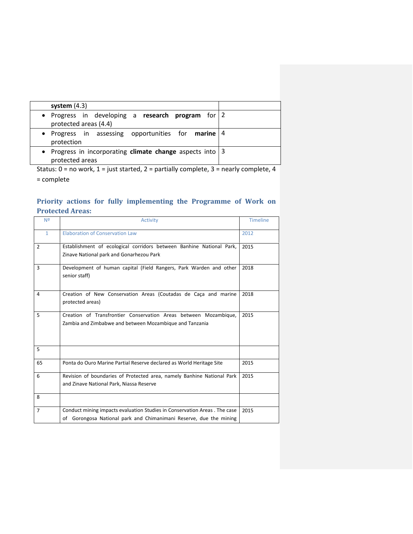| system $(4.3)$                                                               |  |
|------------------------------------------------------------------------------|--|
| • Progress in developing a research program for $2$<br>protected areas (4.4) |  |
| • Progress in assessing opportunities for <b>marine</b> $ 4 $<br>protection  |  |
| • Progress in incorporating climate change aspects into 3<br>protected areas |  |

Status:  $0 = no$  work,  $1 =$  just started,  $2 =$  partially complete,  $3 =$  nearly complete,  $4$ 

= complete

### **Priority actions for fully implementing the Programme of Work on Protected Areas:**

| Nº             | Activity                                                                                                                                        | <b>Timeline</b> |
|----------------|-------------------------------------------------------------------------------------------------------------------------------------------------|-----------------|
| $\mathbf{1}$   | <b>Elaboration of Conservation Law</b>                                                                                                          | 2012            |
| $\overline{2}$ | Establishment of ecological corridors between Banhine National Park,<br>Zinave National park and Gonarhezou Park                                | 2015            |
| 3              | Development of human capital (Field Rangers, Park Warden and other<br>senior staff)                                                             | 2018            |
| 4              | Creation of New Conservation Areas (Coutadas de Caca and marine<br>protected areas)                                                             | 2018            |
| 5              | Creation of Transfrontier Conservation Areas between Mozambique,<br>Zambia and Zimbabwe and between Mozambique and Tanzania                     | 2015            |
| 5              |                                                                                                                                                 |                 |
| 65             | Ponta do Ouro Marine Partial Reserve declared as World Heritage Site                                                                            | 2015            |
| 6              | Revision of boundaries of Protected area, namely Banhine National Park<br>and Zinave National Park, Niassa Reserve                              | 2015            |
| 8              |                                                                                                                                                 |                 |
| $\overline{7}$ | Conduct mining impacts evaluation Studies in Conservation Areas. The case<br>of Gorongosa National park and Chimanimani Reserve, due the mining | 2015            |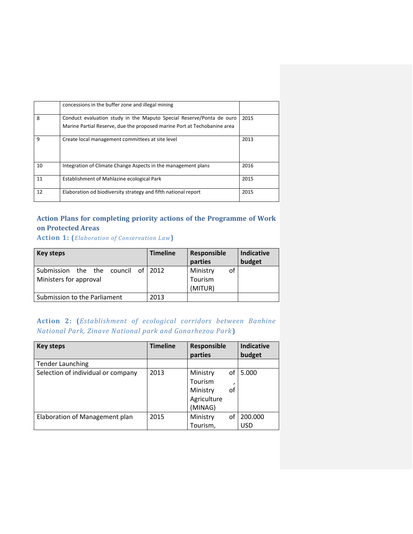|    | concessions in the buffer zone and illegal mining                        |      |
|----|--------------------------------------------------------------------------|------|
| 8  | Conduct evaluation study in the Maputo Special Reserve/Ponta de ouro     | 2015 |
|    | Marine Partial Reserve, due the proposed marine Port at Techobanine area |      |
| 9  | Create local management committees at site level                         | 2013 |
| 10 | Integration of Climate Change Aspects in the management plans            | 2016 |
| 11 | Establishment of Mahlazine ecological Park                               | 2015 |
| 12 | Elaboration od biodiversity strategy and fifth national report           | 2015 |

## **Action Plans for completing priority actions of the Programme of Work on Protected Areas**

**Action 1: (***Elaboration of Conservation Law***)**

| Key steps                                                       | <b>Timeline</b> | Responsible<br>parties               | <b>Indicative</b><br>budget |
|-----------------------------------------------------------------|-----------------|--------------------------------------|-----------------------------|
| the the council of 2012<br>Submission<br>Ministers for approval |                 | Ministry<br>οf<br>Tourism<br>(MITUR) |                             |
| Submission to the Parliament                                    | 2013            |                                      |                             |

|  | <b>Action 2:</b> ( <i>Establishment of ecological corridors between Banhine</i> |  |  |  |
|--|---------------------------------------------------------------------------------|--|--|--|
|  | <b>National Park, Zinave National park and Gonarhezou Park)</b>                 |  |  |  |

| Key steps                          | <b>Timeline</b> | Responsible<br>parties |    | <b>Indicative</b><br>budget |
|------------------------------------|-----------------|------------------------|----|-----------------------------|
| <b>Tender Launching</b>            |                 |                        |    |                             |
| Selection of individual or company | 2013            | Ministry               | of | 5.000                       |
|                                    |                 | Tourism                |    |                             |
|                                    |                 | Ministry               | of |                             |
|                                    |                 | Agriculture            |    |                             |
|                                    |                 | (MINAG)                |    |                             |
| Elaboration of Management plan     | 2015            | Ministry               | οf | 200.000                     |
|                                    |                 | Tourism,               |    | <b>USD</b>                  |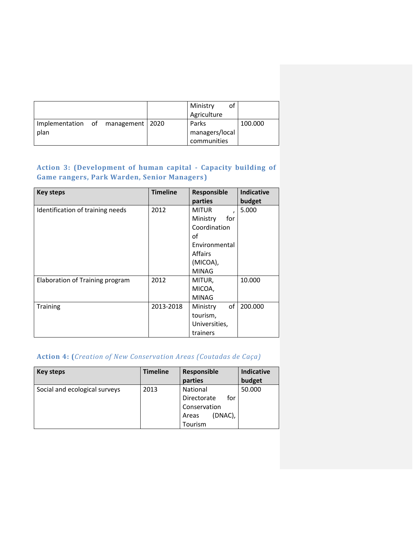|                                     |  | Ministry<br>οt<br>Agriculture |         |
|-------------------------------------|--|-------------------------------|---------|
| Implementation of management   2020 |  | Parks                         | 100.000 |
| plan                                |  | managers/local                |         |
|                                     |  | communities                   |         |

## **Action 3: (Development of human capital - Capacity building of Game rangers, Park Warden, Senior Managers)**

| <b>Key steps</b>                 | <b>Timeline</b> | Responsible               | <b>Indicative</b> |
|----------------------------------|-----------------|---------------------------|-------------------|
|                                  |                 | parties                   | budget            |
| Identification of training needs | 2012            | <b>MITUR</b><br>$\lambda$ | 5.000             |
|                                  |                 | Ministry<br>for           |                   |
|                                  |                 | Coordination              |                   |
|                                  |                 | of                        |                   |
|                                  |                 | Environmental             |                   |
|                                  |                 | <b>Affairs</b>            |                   |
|                                  |                 | (MICOA),                  |                   |
|                                  |                 | <b>MINAG</b>              |                   |
| Elaboration of Training program  | 2012            | MITUR,                    | 10.000            |
|                                  |                 | MICOA,                    |                   |
|                                  |                 | <b>MINAG</b>              |                   |
| <b>Training</b>                  | 2013-2018       | of<br>Ministry            | 200.000           |
|                                  |                 | tourism,                  |                   |
|                                  |                 | Universities,             |                   |
|                                  |                 | trainers                  |                   |

## **Action 4: (***Creation of New Conservation Areas (Coutadas de Caça)*

| Key steps                     | <b>Timeline</b> | Responsible<br>parties                                                               | <b>Indicative</b><br>budget |
|-------------------------------|-----------------|--------------------------------------------------------------------------------------|-----------------------------|
| Social and ecological surveys | 2013            | <b>National</b><br>for<br>Directorate<br>Conservation<br>(DNAC),<br>Areas<br>Tourism | 50.000                      |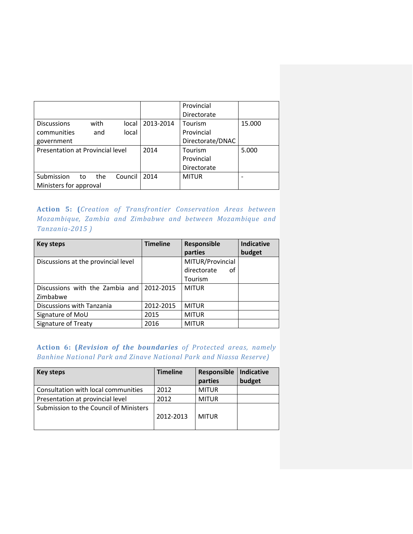|                                  |      |         |           | Provincial<br>Directorate |        |
|----------------------------------|------|---------|-----------|---------------------------|--------|
| <b>Discussions</b>               | with | local   | 2013-2014 | Tourism                   | 15.000 |
| communities                      | and  | local   |           | Provincial                |        |
| government                       |      |         |           | Directorate/DNAC          |        |
| Presentation at Provincial level |      | 2014    | Tourism   | 5.000                     |        |
|                                  |      |         |           | Provincial                |        |
|                                  |      |         |           | Directorate               |        |
| Submission<br>to                 | the  | Council | 2014      | <b>MITUR</b>              |        |
| Ministers for approval           |      |         |           |                           |        |

**Action 5: (***Creation of Transfrontier Conservation Areas between Mozambique, Zambia and Zimbabwe and between Mozambique and Tanzania-2015 )*

| Key steps                           | <b>Timeline</b> | Responsible       | <b>Indicative</b> |
|-------------------------------------|-----------------|-------------------|-------------------|
|                                     |                 | parties           | budget            |
| Discussions at the provincial level |                 | MITUR/Provincial  |                   |
|                                     |                 | directorate<br>οf |                   |
|                                     |                 | Tourism           |                   |
| Discussions with the Zambia and     | 2012-2015       | <b>MITUR</b>      |                   |
| Zimbabwe                            |                 |                   |                   |
| Discussions with Tanzania           | 2012-2015       | <b>MITUR</b>      |                   |
| Signature of MoU                    | 2015            | <b>MITUR</b>      |                   |
| Signature of Treaty                 | 2016            | <b>MITUR</b>      |                   |

**Action 6: (***Revision of the boundaries of Protected areas, namely Banhine National Park and Zinave National Park and Niassa Reserve)*

| Key steps                              | <b>Timeline</b> | Responsible<br>parties | Indicative<br>budget |
|----------------------------------------|-----------------|------------------------|----------------------|
| Consultation with local communities    | 2012            | <b>MITUR</b>           |                      |
| Presentation at provincial level       | 2012            | <b>MITUR</b>           |                      |
| Submission to the Council of Ministers | 2012-2013       | MITUR                  |                      |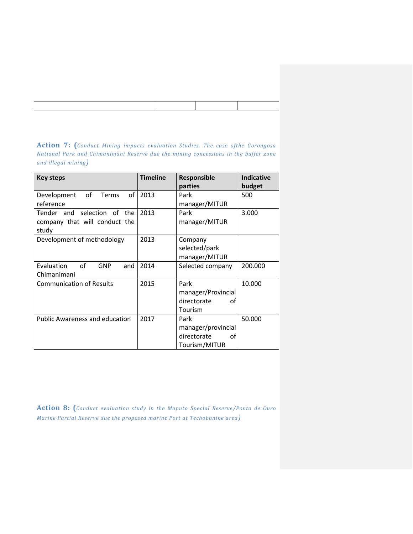| <b>Action 7:</b> (Conduct Mining impacts evaluation Studies. The case ofthe Gorongosa |  |  |  |  |  |  |  |
|---------------------------------------------------------------------------------------|--|--|--|--|--|--|--|
| National Park and Chimanimani Reserve due the mining concessions in the buffer zone   |  |  |  |  |  |  |  |
| and illegal mining)                                                                   |  |  |  |  |  |  |  |

| <b>Key steps</b>                        | <b>Timeline</b> | Responsible        | <b>Indicative</b> |
|-----------------------------------------|-----------------|--------------------|-------------------|
|                                         |                 | parties            | budget            |
| of<br>of<br>Development<br><b>Terms</b> | 2013            | Park               | 500               |
| reference                               |                 | manager/MITUR      |                   |
| Tender and selection of the             | 2013            | Park               | 3.000             |
| company that will conduct the           |                 | manager/MITUR      |                   |
| study                                   |                 |                    |                   |
| Development of methodology              | 2013            | Company            |                   |
|                                         |                 | selected/park      |                   |
|                                         |                 | manager/MITUR      |                   |
| of<br>Evaluation<br>GNP<br>and          | 2014            | Selected company   | 200.000           |
| Chimanimani                             |                 |                    |                   |
| <b>Communication of Results</b>         | 2015            | Park               | 10.000            |
|                                         |                 | manager/Provincial |                   |
|                                         |                 | directorate<br>οf  |                   |
|                                         |                 | Tourism            |                   |
| <b>Public Awareness and education</b>   | 2017            | Park               | 50.000            |
|                                         |                 | manager/provincial |                   |
|                                         |                 | directorate<br>οf  |                   |
|                                         |                 | Tourism/MITUR      |                   |

**Action 8: (***Conduct evaluation study in the Maputo Special Reserve/Ponta de Ouro Marine Partial Reserve due the proposed marine Port at Techobanine area)*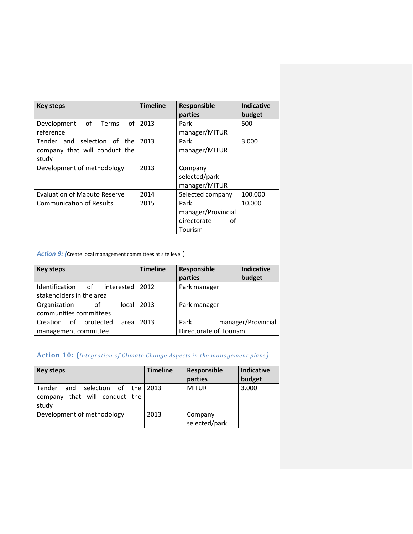| <b>Key steps</b>                | <b>Timeline</b> | Responsible        | <b>Indicative</b> |
|---------------------------------|-----------------|--------------------|-------------------|
|                                 |                 | parties            | budget            |
| of Terms<br>of<br>Development   | 2013            | Park               | 500               |
| reference                       |                 | manager/MITUR      |                   |
| Tender and selection of the     | 2013            | Park               | 3.000             |
| company that will conduct the   |                 | manager/MITUR      |                   |
| study                           |                 |                    |                   |
| Development of methodology      | 2013            | Company            |                   |
|                                 |                 | selected/park      |                   |
|                                 |                 | manager/MITUR      |                   |
| Evaluation of Maputo Reserve    | 2014            | Selected company   | 100.000           |
| <b>Communication of Results</b> | 2015            | Park               | 10.000            |
|                                 |                 | manager/Provincial |                   |
|                                 |                 | directorate<br>Ωf  |                   |
|                                 |                 | Tourism            |                   |

*Action 9: (*Create local management committees at site level )

| <b>Key steps</b>                    | <b>Timeline</b> | Responsible<br>parties | <b>Indicative</b><br>budget |
|-------------------------------------|-----------------|------------------------|-----------------------------|
| Identification of interested        | 2012            | Park manager           |                             |
| stakeholders in the area            |                 |                        |                             |
| Organization<br>local<br>of         | 2013            | Park manager           |                             |
| communities committees              |                 |                        |                             |
| of<br>protected<br>Creation<br>area | 2013            | Park                   | manager/Provincial          |
| management committee                |                 | Directorate of Tourism |                             |

## **Action 10: (***Integration of Climate Change Aspects in the management plans)*

| Key steps                                                                        | <b>Timeline</b> | Responsible<br>parties   | <b>Indicative</b><br>budget |
|----------------------------------------------------------------------------------|-----------------|--------------------------|-----------------------------|
| Tender<br>selection of the l<br>and<br>that will conduct the<br>company<br>study | 2013            | <b>MITUR</b>             | 3.000                       |
| Development of methodology                                                       | 2013            | Company<br>selected/park |                             |